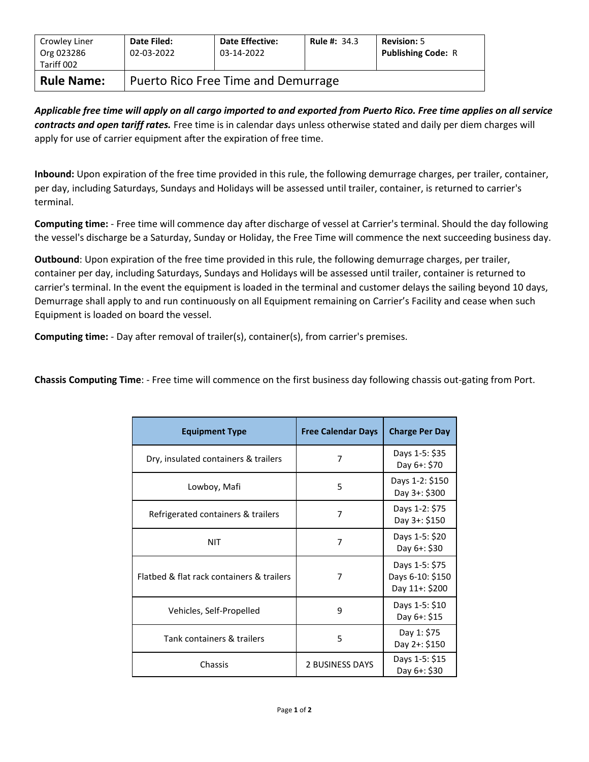| Crowley Liner<br>Org 023286<br>Tariff 002 | Date Filed:<br>02-03-2022           | <b>Date Effective:</b><br>03-14-2022 | <b>Rule #: 34.3</b> | <b>Revision: 5</b><br><b>Publishing Code: R</b> |  |
|-------------------------------------------|-------------------------------------|--------------------------------------|---------------------|-------------------------------------------------|--|
| <b>Rule Name:</b>                         | Puerto Rico Free Time and Demurrage |                                      |                     |                                                 |  |

*Applicable free time will apply on all cargo imported to and exported from Puerto Rico. Free time applies on all service contracts and open tariff rates.* Free time is in calendar days unless otherwise stated and daily per diem charges will apply for use of carrier equipment after the expiration of free time.

**Inbound:** Upon expiration of the free time provided in this rule, the following demurrage charges, per trailer, container, per day, including Saturdays, Sundays and Holidays will be assessed until trailer, container, is returned to carrier's terminal.

**Computing time:** - Free time will commence day after discharge of vessel at Carrier's terminal. Should the day following the vessel's discharge be a Saturday, Sunday or Holiday, the Free Time will commence the next succeeding business day.

**Outbound**: Upon expiration of the free time provided in this rule, the following demurrage charges, per trailer, container per day, including Saturdays, Sundays and Holidays will be assessed until trailer, container is returned to carrier's terminal. In the event the equipment is loaded in the terminal and customer delays the sailing beyond 10 days, Demurrage shall apply to and run continuously on all Equipment remaining on Carrier's Facility and cease when such Equipment is loaded on board the vessel.

**Computing time:** - Day after removal of trailer(s), container(s), from carrier's premises.

**Chassis Computing Time**: - Free time will commence on the first business day following chassis out-gating from Port.

| <b>Equipment Type</b>                     | <b>Free Calendar Days</b> | <b>Charge Per Day</b>                                |
|-------------------------------------------|---------------------------|------------------------------------------------------|
| Dry, insulated containers & trailers      | 7                         | Days 1-5: \$35<br>Day 6+: \$70                       |
| Lowboy, Mafi                              | 5                         | Days 1-2: \$150<br>Day 3+: \$300                     |
| Refrigerated containers & trailers        | 7                         | Days 1-2: \$75<br>Day 3+: \$150                      |
| <b>NIT</b>                                | 7                         | Days 1-5: \$20<br>Day 6+: \$30                       |
| Flatbed & flat rack containers & trailers | 7                         | Days 1-5: \$75<br>Days 6-10: \$150<br>Day 11+: \$200 |
| Vehicles, Self-Propelled                  | 9                         | Days 1-5: \$10<br>Day 6+: \$15                       |
| Tank containers & trailers                | 5                         | Day 1: \$75<br>Day 2+: \$150                         |
| Chassis                                   | <b>2 BUSINESS DAYS</b>    | Days 1-5: \$15<br>Day 6+: \$30                       |